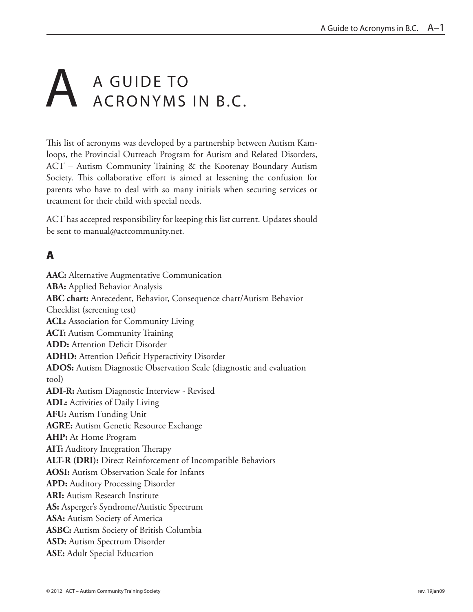# A GUIDE TO ACRONYMS ACRONYMS IN B.C.

This list of acronyms was developed by a partnership between Autism Kamloops, the Provincial Outreach Program for Autism and Related Disorders, ACT – Autism Community Training & the Kootenay Boundary Autism Society. This collaborative effort is aimed at lessening the confusion for parents who have to deal with so many initials when securing services or treatment for their child with special needs.

ACT has accepted responsibility for keeping this list current. Updates should be sent to manual@actcommunity.net.

# A

**AAC:** Alternative Augmentative Communication **ABA:** Applied Behavior Analysis **ABC chart:** Antecedent, Behavior, Consequence chart/Autism Behavior Checklist (screening test) **ACL:** Association for Community Living **ACT:** Autism Community Training **ADD:** Attention Deficit Disorder **ADHD:** Attention Deficit Hyperactivity Disorder **ADOS:** Autism Diagnostic Observation Scale (diagnostic and evaluation tool) **ADI-R:** Autism Diagnostic Interview - Revised **ADL:** Activities of Daily Living **AFU:** Autism Funding Unit **AGRE:** Autism Genetic Resource Exchange **AHP:** At Home Program **AIT:** Auditory Integration Therapy **ALT-R (DRI):** Direct Reinforcement of Incompatible Behaviors **AOSI:** Autism Observation Scale for Infants **APD:** Auditory Processing Disorder **ARI:** Autism Research Institute **AS:** Asperger's Syndrome/Autistic Spectrum **ASA:** Autism Society of America **ASBC:** Autism Society of British Columbia **ASD:** Autism Spectrum Disorder **ASE:** Adult Special Education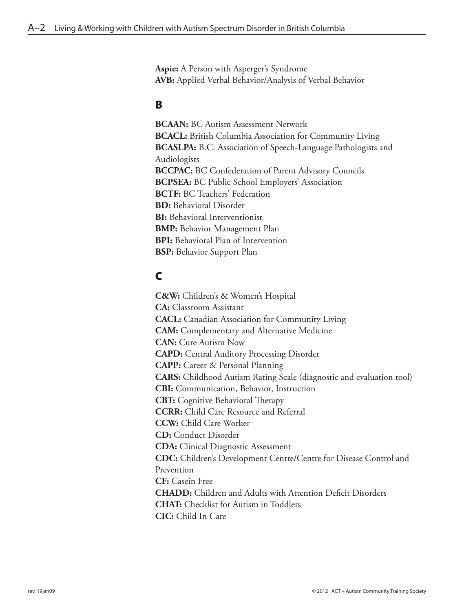**Aspie:** A Person with Asperger's Syndrome **AVB:** Applied Verbal Behavior/Analysis of Verbal Behavior

#### B

**BCAAN:** BC Autism Assessment Network **BCACL:** British Columbia Association for Community Living **BCASLPA:** B.C. Association of Speech-Language Pathologists and Audiologists **BCCPAC:** BC Confederation of Parent Advisory Councils **BCPSEA:** BC Public School Employers' Association **BCTF:** BC Teachers' Federation **BD:** Behavioral Disorder **BI:** Behavioral Interventionist **BMP:** Behavior Management Plan **BPI:** Behavioral Plan of Intervention **BSP:** Behavior Support Plan

## C

**C&W:** Children's & Women's Hospital **CA:** Classroom Assistant **CACL:** Canadian Association for Community Living **CAM:** Complementary and Alternative Medicine **CAN:** Cure Autism Now **CAPD:** Central Auditory Processing Disorder **CAPP:** Career & Personal Planning **CARS:** Childhood Autism Rating Scale (diagnostic and evaluation tool) **CBI:** Communication, Behavior, Instruction **CBT:** Cognitive Behavioral Therapy **CCRR:** Child Care Resource and Referral **CCW:** Child Care Worker **CD:** Conduct Disorder **CDA:** Clinical Diagnostic Assessment **CDC:** Children's Development Centre/Centre for Disease Control and Prevention **CF:** Casein Free **CHADD:** Children and Adults with Attention Deficit Disorders **CHAT:** Checklist for Autism in Toddlers **CIC:** Child In Care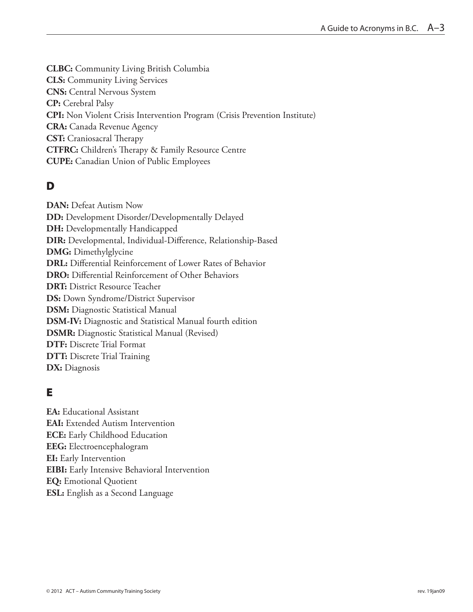**CLBC:** Community Living British Columbia **CLS:** Community Living Services **CNS:** Central Nervous System **CP:** Cerebral Palsy **CPI:** Non Violent Crisis Intervention Program (Crisis Prevention Institute) **CRA:** Canada Revenue Agency **CST:** Craniosacral Therapy **CTFRC:** Children's Therapy & Family Resource Centre **CUPE:** Canadian Union of Public Employees

# D

**DAN:** Defeat Autism Now **DD:** Development Disorder/Developmentally Delayed **DH:** Developmentally Handicapped **DIR:** Developmental, Individual-Difference, Relationship-Based **DMG:** Dimethylglycine **DRL:** Differential Reinforcement of Lower Rates of Behavior **DRO:** Differential Reinforcement of Other Behaviors **DRT:** District Resource Teacher **DS:** Down Syndrome/District Supervisor **DSM:** Diagnostic Statistical Manual **DSM-IV:** Diagnostic and Statistical Manual fourth edition **DSMR:** Diagnostic Statistical Manual (Revised) **DTF:** Discrete Trial Format **DTT:** Discrete Trial Training **DX:** Diagnosis

# E

**EA:** Educational Assistant **EAI:** Extended Autism Intervention **ECE:** Early Childhood Education **EEG:** Electroencephalogram **EI:** Early Intervention **EIBI:** Early Intensive Behavioral Intervention **EQ:** Emotional Quotient **ESL:** English as a Second Language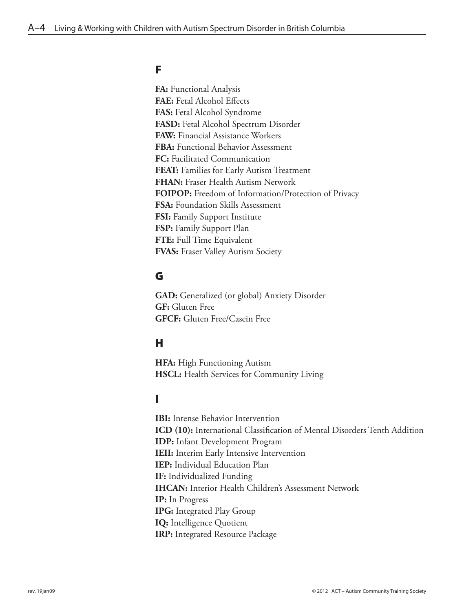#### F

**FA:** Functional Analysis **FAE:** Fetal Alcohol Effects **FAS:** Fetal Alcohol Syndrome **FASD:** Fetal Alcohol Spectrum Disorder **FAW:** Financial Assistance Workers **FBA:** Functional Behavior Assessment **FC:** Facilitated Communication **FEAT:** Families for Early Autism Treatment **FHAN:** Fraser Health Autism Network **FOIPOP:** Freedom of Information/Protection of Privacy **FSA:** Foundation Skills Assessment **FSI:** Family Support Institute **FSP:** Family Support Plan **FTE:** Full Time Equivalent **FVAS:** Fraser Valley Autism Society

## G

**GAD:** Generalized (or global) Anxiety Disorder **GF:** Gluten Free **GFCF:** Gluten Free/Casein Free

#### H

**HFA:** High Functioning Autism **HSCL:** Health Services for Community Living

## I

**IBI:** Intense Behavior Intervention **ICD (10):** International Classification of Mental Disorders Tenth Addition **IDP:** Infant Development Program **IEII:** Interim Early Intensive Intervention **IEP:** Individual Education Plan **IF:** Individualized Funding **IHCAN:** Interior Health Children's Assessment Network **IP:** In Progress **IPG:** Integrated Play Group **IQ:** Intelligence Quotient **IRP:** Integrated Resource Package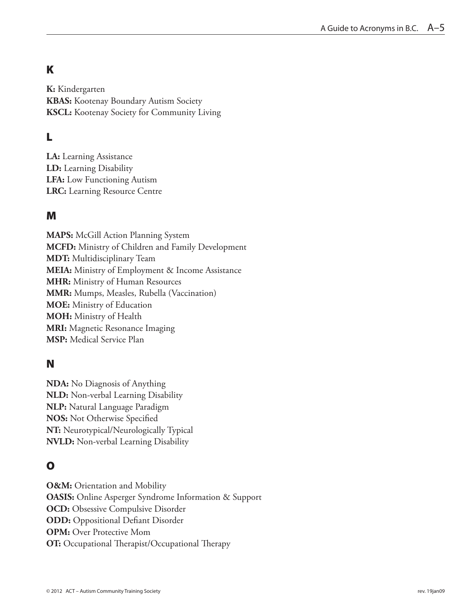# K

**K:** Kindergarten **KBAS:** Kootenay Boundary Autism Society **KSCL:** Kootenay Society for Community Living

# L

**LA:** Learning Assistance **LD:** Learning Disability **LFA:** Low Functioning Autism **LRC:** Learning Resource Centre

#### M

**MAPS:** McGill Action Planning System **MCFD:** Ministry of Children and Family Development **MDT:** Multidisciplinary Team **MEIA:** Ministry of Employment & Income Assistance **MHR:** Ministry of Human Resources **MMR:** Mumps, Measles, Rubella (Vaccination) **MOE:** Ministry of Education **MOH:** Ministry of Health **MRI:** Magnetic Resonance Imaging **MSP:** Medical Service Plan

#### N

**NDA:** No Diagnosis of Anything **NLD:** Non-verbal Learning Disability **NLP:** Natural Language Paradigm **NOS:** Not Otherwise Specified **NT:** Neurotypical/Neurologically Typical **NVLD:** Non-verbal Learning Disability

## O

**O&M:** Orientation and Mobility **OASIS:** Online Asperger Syndrome Information & Support **OCD:** Obsessive Compulsive Disorder **ODD:** Oppositional Defiant Disorder **OPM:** Over Protective Mom **OT:** Occupational Therapist/Occupational Therapy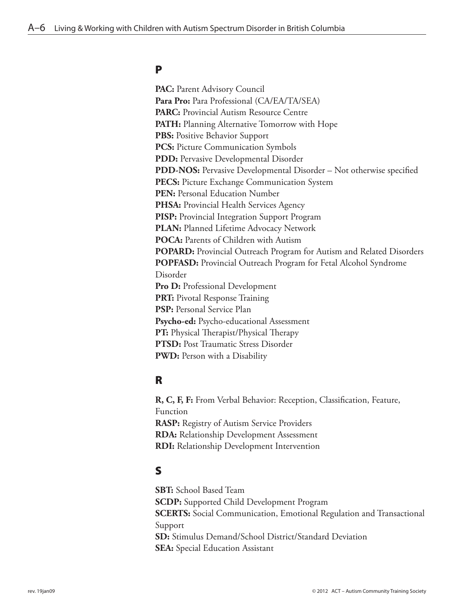#### P

**PAC:** Parent Advisory Council **Para Pro:** Para Professional (CA/EA/TA/SEA) **PARC:** Provincial Autism Resource Centre **PATH:** Planning Alternative Tomorrow with Hope **PBS:** Positive Behavior Support **PCS:** Picture Communication Symbols **PDD:** Pervasive Developmental Disorder **PDD-NOS:** Pervasive Developmental Disorder – Not otherwise specified **PECS:** Picture Exchange Communication System **PEN:** Personal Education Number **PHSA:** Provincial Health Services Agency **PISP:** Provincial Integration Support Program **PLAN:** Planned Lifetime Advocacy Network **POCA:** Parents of Children with Autism **POPARD:** Provincial Outreach Program for Autism and Related Disorders **POPFASD:** Provincial Outreach Program for Fetal Alcohol Syndrome Disorder Pro D: Professional Development **PRT:** Pivotal Response Training **PSP:** Personal Service Plan **Psycho-ed:** Psycho-educational Assessment **PT:** Physical Therapist/Physical Therapy **PTSD:** Post Traumatic Stress Disorder **PWD:** Person with a Disability

#### R

**R, C, F, F:** From Verbal Behavior: Reception, Classification, Feature, Function **RASP:** Registry of Autism Service Providers **RDA:** Relationship Development Assessment **RDI:** Relationship Development Intervention

#### S

**SBT:** School Based Team **SCDP:** Supported Child Development Program **SCERTS:** Social Communication, Emotional Regulation and Transactional Support **SD:** Stimulus Demand/School District/Standard Deviation **SEA:** Special Education Assistant